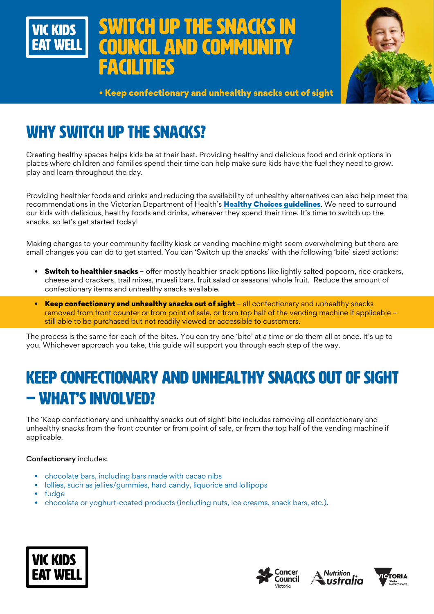# WITCH UP THE SNACKS IN **IL AND COMMUNITY** *CILITIES*



• Keep confectionary and unhealthy snacks out of sight

## WHY SWITCH UP THE SNACKS?

Creating healthy spaces helps kids be at their best. Providing healthy and delicious food and drink options in places where children and families spend their time can help make sure kids have the fuel they need to grow, play and learn throughout the day.

Providing healthier foods and drinks and reducing the availability of unhealthy alternatives can also help meet the recommendations in the Victorian Department of Health's Healthy Choices quidelines. We need to surround our kids with delicious, healthy foods and drinks, wherever they spend their time. It's time to switch up the snacks, so let's get started today!

Making changes to your community facility kiosk or vending machine might seem overwhelming but there are small changes you can do to get started. You can 'Switch up the snacks' with the following 'bite' sized actions:

- Switch to healthier snacks offer mostly healthier snack options like lightly salted popcorn, rice crackers, cheese and crackers, trail mixes, muesli bars, fruit salad or seasonal whole fruit. Reduce the amount of confectionary items and unhealthy snacks available.
- Keep confectionary and unhealthy snacks out of sight all confectionary and unhealthy snacks removed from front counter or from point of sale, or from top half of the vending machine if applicable – still able to be purchased but not readily viewed or accessible to customers.

The process is the same for each of the bites. You can try one 'bite' at a time or do them all at once. It's up to you. Whichever approach you take, this guide will support you through each step of the way.

## KEEP CONFECTIONARY AND UNHEALTHY SNACKS OUT OF SIGHT – WHAT'S INVOLVED?

The 'Keep confectionary and unhealthy snacks out of sight' bite includes removing all confectionary and unhealthy snacks from the front counter or from point of sale, or from the top half of the vending machine if applicable.

#### Confectionary includes:

- chocolate bars, including bars made with cacao nibs
- lollies, such as jellies/gummies, hard candy, liquorice and lollipops
- fudge
- chocolate or yoghurt-coated products (including nuts, ice creams, snack bars, etc.).







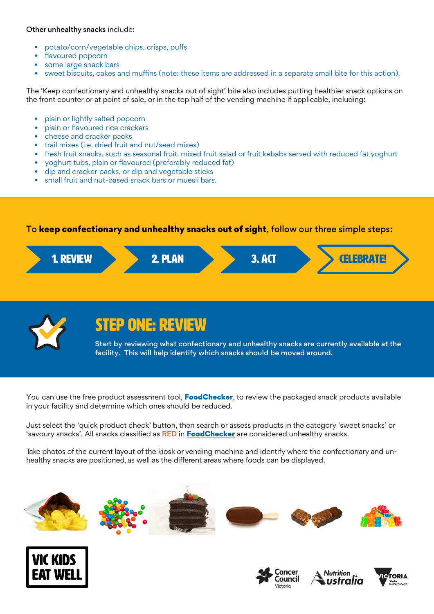#### Other unhealthy snacks include:

- potato/corn/vegetable chips, crisps, puffs
- flavoured popcorn
- some large snack bars
- sweet biscuits, cakes and muffins (note: these items are addressed in a separate small bite for this action).

The 'Keep confectionary and unhealthy snacks out of sight' bite also includes putting healthier snack options on the front counter or at point of sale, or in the top half of the vending machine if applicable, including:

- plain or lightly salted popcorn
- plain or flavoured rice crackers
- cheese and cracker packs
- trail mixes (i.e. dried fruit and nut/seed mixes)
- fresh fruit snacks, such as seasonal fruit, mixed fruit salad or fruit kebabs served with reduced fat yoghurt
- yoghurt tubs, plain or flavoured (preferably reduced fat)
- dip and cracker packs, or dip and vegetable sticks
- small fruit and nut-based snack bars or muesli bars.

To keep confectionary and unhealthy snacks out of sight, follow our three simple steps:





## STEP ONE: REVIEW

Start by reviewing what confectionary and unhealthy snacks are currently available at the facility. This will help identify which snacks should be moved around.

You can use the free product assessment tool, **[FoodChecker](https://foodchecker.heas.health.vic.gov.au/)**, to review the packaged snack products available in your facility and determine which ones should be reduced.

Just select the 'quick product check' button, then search or assess products in the category 'sweet snacks' or 'savoury snacks'. All snacks classified as RED in [FoodChecker](https://foodchecker.heas.health.vic.gov.au/) are considered unhealthy snacks.

Take photos of the current layout of the kiosk or vending machine and identify where the confectionary and unhealthy snacks are positioned, as well as the different areas where foods can be displayed.









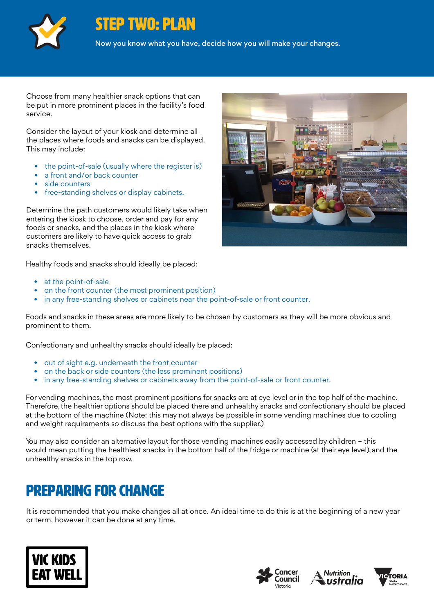

### STEP TWO: PLAN

Now you know what you have, decide how you will make your changes.

Choose from many healthier snack options that can be put in more prominent places in the facility's food service.

Consider the layout of your kiosk and determine all the places where foods and snacks can be displayed. This may include:

- the point-of-sale (usually where the register is)
- a front and/or back counter
- side counters
- free-standing shelves or display cabinets.

Determine the path customers would likely take when entering the kiosk to choose, order and pay for any foods or snacks, and the places in the kiosk where customers are likely to have quick access to grab snacks themselves.

Healthy foods and snacks should ideally be placed:

- at the point-of-sale
- on the front counter (the most prominent position)
- in any free-standing shelves or cabinets near the point-of-sale or front counter.

Foods and snacks in these areas are more likely to be chosen by customers as they will be more obvious and prominent to them.

Confectionary and unhealthy snacks should ideally be placed:

- out of sight e.g. underneath the front counter
- on the back or side counters (the less prominent positions)
- in any free-standing shelves or cabinets away from the point-of-sale or front counter.

For vending machines, the most prominent positions for snacks are at eye level or in the top half of the machine. Therefore, the healthier options should be placed there and unhealthy snacks and confectionary should be placed at the bottom of the machine (Note: this may not always be possible in some vending machines due to cooling and weight requirements so discuss the best options with the supplier.)

You may also consider an alternative layout for those vending machines easily accessed by children – this would mean putting the healthiest snacks in the bottom half of the fridge or machine (at their eye level), and the unhealthy snacks in the top row.

### Preparing for change

It is recommended that you make changes all at once. An ideal time to do this is at the beginning of a new year or term, however it can be done at any time.









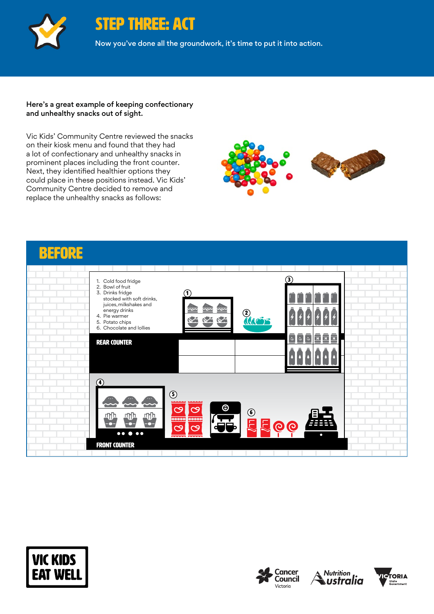

STEP THREE: ACT

Now you've done all the groundwork, it's time to put it into action.

#### Here's a great example of keeping confectionary and unhealthy snacks out of sight.

Vic Kids' Community Centre reviewed the snacks on their kiosk menu and found that they had a lot of confectionary and unhealthy snacks in prominent places including the front counter. Next, they identified healthier options they could place in these positions instead. Vic Kids' Community Centre decided to remove and replace the unhealthy snacks as follows:











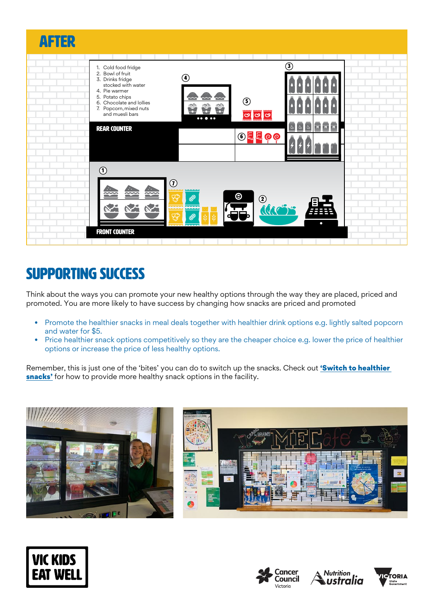

## SUPPORTING SUCCESS

Think about the ways you can promote your new healthy options through the way they are placed, priced and promoted. You are more likely to have success by changing how snacks are priced and promoted

- Promote the healthier snacks in meal deals together with healthier drink options e.g. lightly salted popcorn and water for \$5.
- Price healthier snack options competitively so they are the cheaper choice e.g. lower the price of healthier options or increase the price of less healthy options.

Remember, this is just one of the 'bites' you can do to switch up the snacks. Check out **'Switch to healthier** [snacks'](https://www.vickidseatwell.health.vic.gov.au/resources) for how to provide more healthy snack options in the facility.